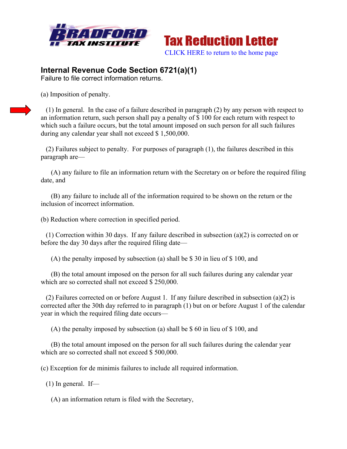



## **Internal Revenue Code Section 6721(a)(1)**

Failure to file correct information returns.

(a) Imposition of penalty.

 (1) In general. In the case of a failure described in paragraph (2) by any person with respect to an information return, such person shall pay a penalty of \$ 100 for each return with respect to which such a failure occurs, but the total amount imposed on such person for all such failures during any calendar year shall not exceed \$ 1,500,000.

 (2) Failures subject to penalty. For purposes of paragraph (1), the failures described in this paragraph are—

 (A) any failure to file an information return with the Secretary on or before the required filing date, and

 (B) any failure to include all of the information required to be shown on the return or the inclusion of incorrect information.

(b) Reduction where correction in specified period.

 (1) Correction within 30 days. If any failure described in subsection (a)(2) is corrected on or before the day 30 days after the required filing date—

(A) the penalty imposed by subsection (a) shall be \$ 30 in lieu of \$ 100, and

 (B) the total amount imposed on the person for all such failures during any calendar year which are so corrected shall not exceed \$ 250,000.

 (2) Failures corrected on or before August 1. If any failure described in subsection (a)(2) is corrected after the 30th day referred to in paragraph (1) but on or before August 1 of the calendar year in which the required filing date occurs—

(A) the penalty imposed by subsection (a) shall be \$ 60 in lieu of \$ 100, and

 (B) the total amount imposed on the person for all such failures during the calendar year which are so corrected shall not exceed \$500,000.

(c) Exception for de minimis failures to include all required information.

 $(1)$  In general. If—

(A) an information return is filed with the Secretary,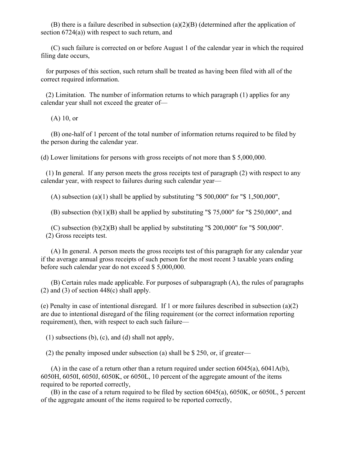(B) there is a failure described in subsection  $(a)(2)(B)$  (determined after the application of section 6724(a)) with respect to such return, and

 (C) such failure is corrected on or before August 1 of the calendar year in which the required filing date occurs,

 for purposes of this section, such return shall be treated as having been filed with all of the correct required information.

 (2) Limitation. The number of information returns to which paragraph (1) applies for any calendar year shall not exceed the greater of—

(A) 10, or

 (B) one-half of 1 percent of the total number of information returns required to be filed by the person during the calendar year.

(d) Lower limitations for persons with gross receipts of not more than \$ 5,000,000.

 (1) In general. If any person meets the gross receipts test of paragraph (2) with respect to any calendar year, with respect to failures during such calendar year—

(A) subsection (a)(1) shall be applied by substituting "\$ 500,000" for "\$ 1,500,000",

(B) subsection (b)(1)(B) shall be applied by substituting " $$75,000"$  for " $$250,000"$ , and

 $(C)$  subsection  $(b)(2)(B)$  shall be applied by substituting "\$ 200,000" for "\$ 500,000". (2) Gross receipts test.

 (A) In general. A person meets the gross receipts test of this paragraph for any calendar year if the average annual gross receipts of such person for the most recent 3 taxable years ending before such calendar year do not exceed \$ 5,000,000.

 (B) Certain rules made applicable. For purposes of subparagraph (A), the rules of paragraphs (2) and (3) of section  $448(c)$  shall apply.

(e) Penalty in case of intentional disregard. If 1 or more failures described in subsection (a)(2) are due to intentional disregard of the filing requirement (or the correct information reporting requirement), then, with respect to each such failure—

(1) subsections (b), (c), and (d) shall not apply,

(2) the penalty imposed under subsection (a) shall be \$ 250, or, if greater—

 (A) in the case of a return other than a return required under section 6045(a), 6041A(b), 6050H, 6050I, 6050J, 6050K, or 6050L, 10 percent of the aggregate amount of the items required to be reported correctly,

 (B) in the case of a return required to be filed by section 6045(a), 6050K, or 6050L, 5 percent of the aggregate amount of the items required to be reported correctly,